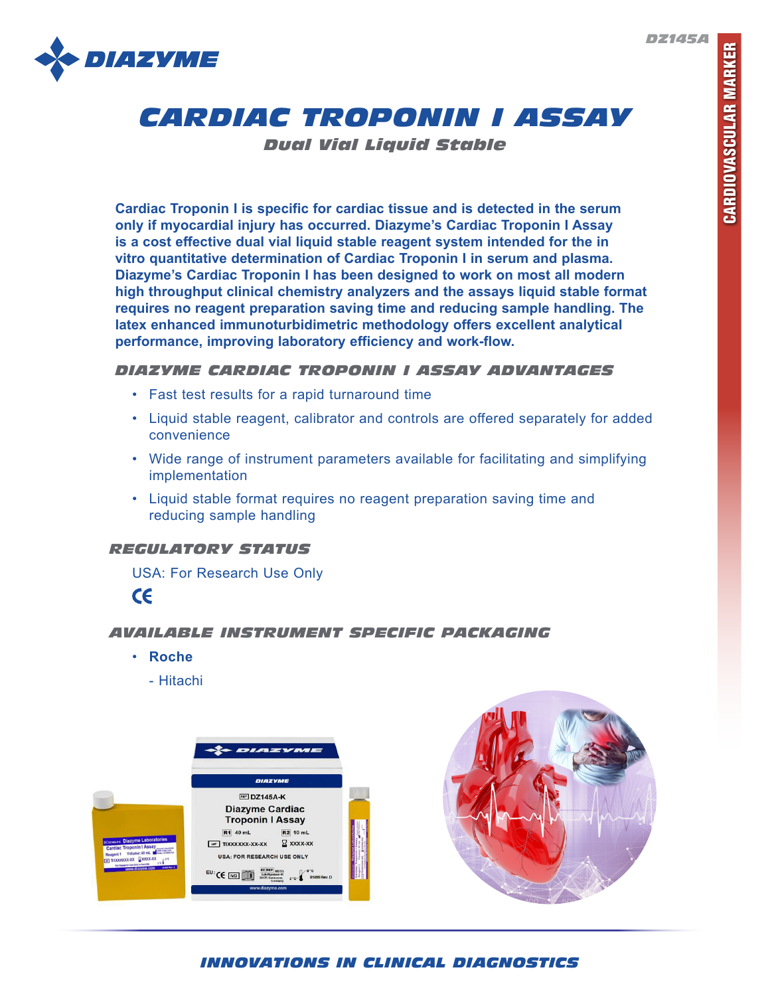



*Dual Vial Liquid Stable*

**Cardiac Troponin I is specific for cardiac tissue and is detected in the serum only if myocardial injury has occurred. Diazyme's Cardiac Troponin I Assay is a cost effective dual vial liquid stable reagent system intended for the in vitro quantitative determination of Cardiac Troponin I in serum and plasma. Diazyme's Cardiac Troponin I has been designed to work on most all modern high throughput clinical chemistry analyzers and the assays liquid stable format requires no reagent preparation saving time and reducing sample handling. The latex enhanced immunoturbidimetric methodology offers excellent analytical performance, improving laboratory efficiency and work-flow.** 

## *DIAZYME CARDIAC TROPONIN I ASSAY ADVANTAGES*

- Fast test results for a rapid turnaround time
- Liquid stable reagent, calibrator and controls are offered separately for added convenience
- Wide range of instrument parameters available for facilitating and simplifying implementation
- Liquid stable format requires no reagent preparation saving time and reducing sample handling

## *REGULATORY STATUS*

USA: For Research Use Only

 $c\epsilon$ 

# *AVAILABLE INSTRUMENT SPECIFIC PACKAGING*

- **Roche**
	- Hitachi





# *INNOVATIONS IN CLINICAL DIAGNOSTICS*